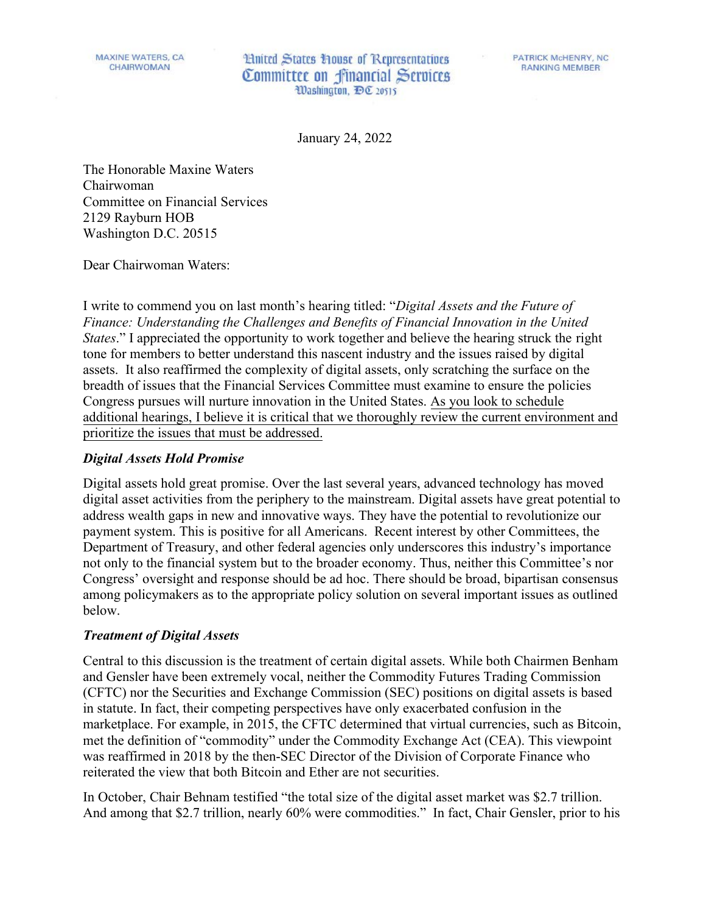**Hnited States House of Representatives** Committee on financial Services Washington, DC 20515

**PATRICK McHENRY, NC RANKING MEMBER** 

January 24, 2022

The Honorable Maxine Waters Chairwoman Committee on Financial Services 2129 Rayburn HOB Washington D.C. 20515

Dear Chairwoman Waters:

I write to commend you on last month's hearing titled: "*Digital Assets and the Future of Finance: Understanding the Challenges and Benefits of Financial Innovation in the United States*." I appreciated the opportunity to work together and believe the hearing struck the right tone for members to better understand this nascent industry and the issues raised by digital assets. It also reaffirmed the complexity of digital assets, only scratching the surface on the breadth of issues that the Financial Services Committee must examine to ensure the policies Congress pursues will nurture innovation in the United States. As you look to schedule additional hearings, I believe it is critical that we thoroughly review the current environment and prioritize the issues that must be addressed.

## *Digital Assets Hold Promise*

Digital assets hold great promise. Over the last several years, advanced technology has moved digital asset activities from the periphery to the mainstream. Digital assets have great potential to address wealth gaps in new and innovative ways. They have the potential to revolutionize our payment system. This is positive for all Americans. Recent interest by other Committees, the Department of Treasury, and other federal agencies only underscores this industry's importance not only to the financial system but to the broader economy. Thus, neither this Committee's nor Congress' oversight and response should be ad hoc. There should be broad, bipartisan consensus among policymakers as to the appropriate policy solution on several important issues as outlined below.

## *Treatment of Digital Assets*

Central to this discussion is the treatment of certain digital assets. While both Chairmen Benham and Gensler have been extremely vocal, neither the Commodity Futures Trading Commission (CFTC) nor the Securities and Exchange Commission (SEC) positions on digital assets is based in statute. In fact, their competing perspectives have only exacerbated confusion in the marketplace. For example, in 2015, the CFTC determined that virtual currencies, such as Bitcoin, met the definition of "commodity" under the Commodity Exchange Act (CEA). This viewpoint was reaffirmed in 2018 by the then-SEC Director of the Division of Corporate Finance who reiterated the view that both Bitcoin and Ether are not securities.

In October, Chair Behnam testified "the total size of the digital asset market was \$2.7 trillion. And among that \$2.7 trillion, nearly 60% were commodities." In fact, Chair Gensler, prior to his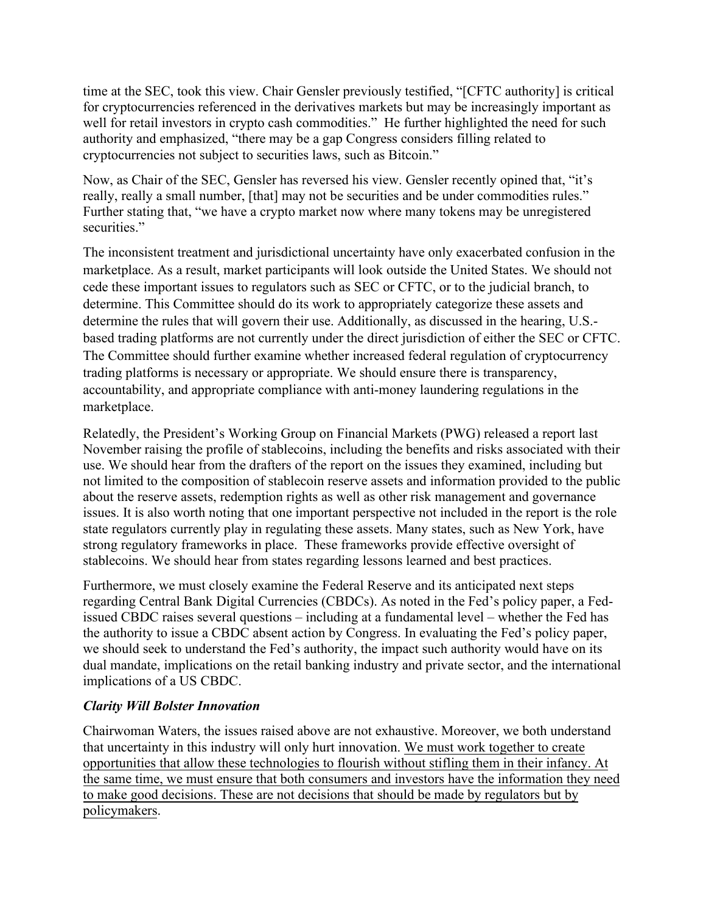time at the SEC, took this view. Chair Gensler previously testified, "[CFTC authority] is critical for cryptocurrencies referenced in the derivatives markets but may be increasingly important as well for retail investors in crypto cash commodities." He further highlighted the need for such authority and emphasized, "there may be a gap Congress considers filling related to cryptocurrencies not subject to securities laws, such as Bitcoin."

Now, as Chair of the SEC, Gensler has reversed his view. Gensler recently opined that, "it's really, really a small number, [that] may not be securities and be under commodities rules." Further stating that, "we have a crypto market now where many tokens may be unregistered securities."

The inconsistent treatment and jurisdictional uncertainty have only exacerbated confusion in the marketplace. As a result, market participants will look outside the United States. We should not cede these important issues to regulators such as SEC or CFTC, or to the judicial branch, to determine. This Committee should do its work to appropriately categorize these assets and determine the rules that will govern their use. Additionally, as discussed in the hearing, U.S. based trading platforms are not currently under the direct jurisdiction of either the SEC or CFTC. The Committee should further examine whether increased federal regulation of cryptocurrency trading platforms is necessary or appropriate. We should ensure there is transparency, accountability, and appropriate compliance with anti-money laundering regulations in the marketplace.

Relatedly, the President's Working Group on Financial Markets (PWG) released a report last November raising the profile of stablecoins, including the benefits and risks associated with their use. We should hear from the drafters of the report on the issues they examined, including but not limited to the composition of stablecoin reserve assets and information provided to the public about the reserve assets, redemption rights as well as other risk management and governance issues. It is also worth noting that one important perspective not included in the report is the role state regulators currently play in regulating these assets. Many states, such as New York, have strong regulatory frameworks in place. These frameworks provide effective oversight of stablecoins. We should hear from states regarding lessons learned and best practices.

Furthermore, we must closely examine the Federal Reserve and its anticipated next steps regarding Central Bank Digital Currencies (CBDCs). As noted in the Fed's policy paper, a Fedissued CBDC raises several questions – including at a fundamental level – whether the Fed has the authority to issue a CBDC absent action by Congress. In evaluating the Fed's policy paper, we should seek to understand the Fed's authority, the impact such authority would have on its dual mandate, implications on the retail banking industry and private sector, and the international implications of a US CBDC.

## *Clarity Will Bolster Innovation*

Chairwoman Waters, the issues raised above are not exhaustive. Moreover, we both understand that uncertainty in this industry will only hurt innovation. We must work together to create opportunities that allow these technologies to flourish without stifling them in their infancy. At the same time, we must ensure that both consumers and investors have the information they need to make good decisions. These are not decisions that should be made by regulators but by policymakers.